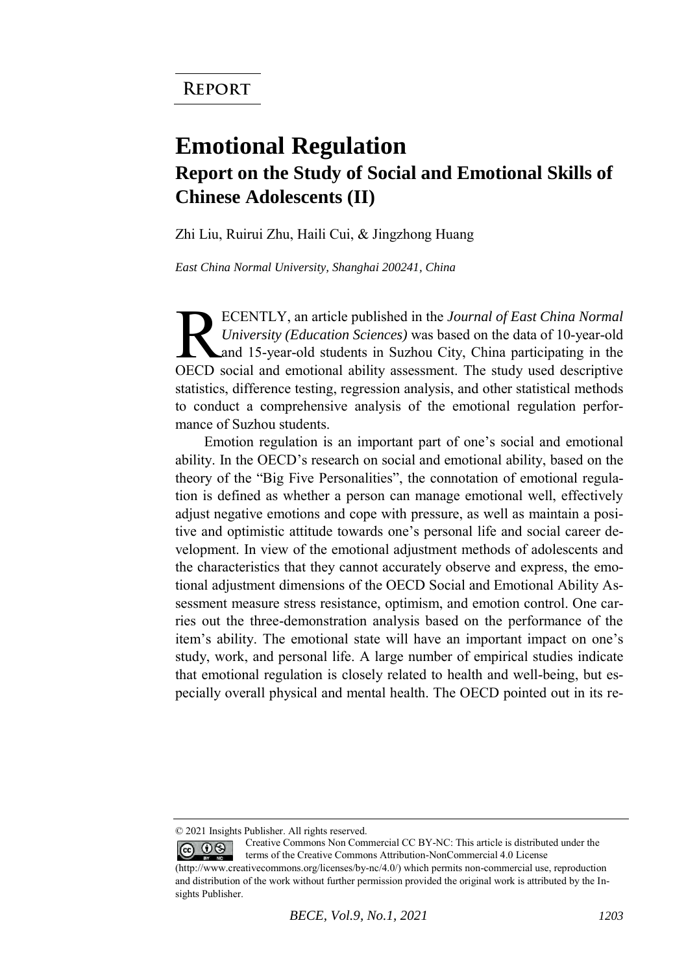## **Emotional Regulation Report on the Study of Social and Emotional Skills of Chinese Adolescents (II)**

Zhi Liu, Ruirui Zhu, Haili Cui, & Jingzhong Huang

*East China Normal University, Shanghai 200241, China* 

ECENTLY, an article published in the *Journal of East China Normal University (Education Sciences)* was based on the data of 10-year-old and 15-year-old students in Suzhou City, China participating in the ECENTLY, an article published in the Journal of East China Normal<br>University (Education Sciences) was based on the data of 10-year-old<br>and 15-year-old students in Suzhou City, China participating in the<br>OECD social and emo statistics, difference testing, regression analysis, and other statistical methods to conduct a comprehensive analysis of the emotional regulation performance of Suzhou students.

Emotion regulation is an important part of one's social and emotional ability. In the OECD's research on social and emotional ability, based on the theory of the "Big Five Personalities", the connotation of emotional regulation is defined as whether a person can manage emotional well, effectively adjust negative emotions and cope with pressure, as well as maintain a positive and optimistic attitude towards one's personal life and social career development. In view of the emotional adjustment methods of adolescents and the characteristics that they cannot accurately observe and express, the emotional adjustment dimensions of the OECD Social and Emotional Ability Assessment measure stress resistance, optimism, and emotion control. One carries out the three-demonstration analysis based on the performance of the item's ability. The emotional state will have an important impact on one's study, work, and personal life. A large number of empirical studies indicate that emotional regulation is closely related to health and well-being, but especially overall physical and mental health. The OECD pointed out in its re-

<sup>© 2021</sup> Insights Publisher. All rights reserved.

Creative Commons Non Commercial CC BY-NC: This article is distributed under the  $\odot$   $\odot$ terms of the Creative Commons Attribution-NonCommercial 4.0 License

<sup>(</sup>http://www.creativecommons.org/licenses/by-nc/4.0/) which permits non-commercial use, reproduction and distribution of the work without further permission provided the original work is attributed by the Insights Publisher.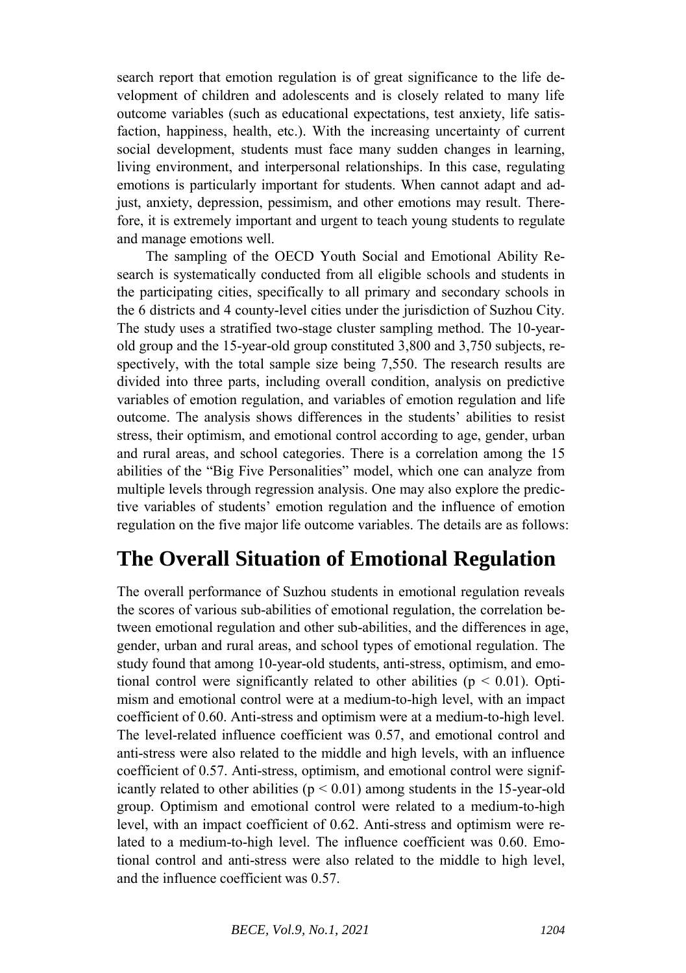search report that emotion regulation is of great significance to the life development of children and adolescents and is closely related to many life outcome variables (such as educational expectations, test anxiety, life satisfaction, happiness, health, etc.). With the increasing uncertainty of current social development, students must face many sudden changes in learning, living environment, and interpersonal relationships. In this case, regulating emotions is particularly important for students. When cannot adapt and adjust, anxiety, depression, pessimism, and other emotions may result. Therefore, it is extremely important and urgent to teach young students to regulate and manage emotions well.

The sampling of the OECD Youth Social and Emotional Ability Research is systematically conducted from all eligible schools and students in the participating cities, specifically to all primary and secondary schools in the 6 districts and 4 county-level cities under the jurisdiction of Suzhou City. The study uses a stratified two-stage cluster sampling method. The 10-yearold group and the 15-year-old group constituted 3,800 and 3,750 subjects, respectively, with the total sample size being 7,550. The research results are divided into three parts, including overall condition, analysis on predictive variables of emotion regulation, and variables of emotion regulation and life outcome. The analysis shows differences in the students' abilities to resist stress, their optimism, and emotional control according to age, gender, urban and rural areas, and school categories. There is a correlation among the 15 abilities of the "Big Five Personalities" model, which one can analyze from multiple levels through regression analysis. One may also explore the predictive variables of students' emotion regulation and the influence of emotion regulation on the five major life outcome variables. The details are as follows:

## **The Overall Situation of Emotional Regulation**

The overall performance of Suzhou students in emotional regulation reveals the scores of various sub-abilities of emotional regulation, the correlation between emotional regulation and other sub-abilities, and the differences in age, gender, urban and rural areas, and school types of emotional regulation. The study found that among 10-year-old students, anti-stress, optimism, and emotional control were significantly related to other abilities ( $p < 0.01$ ). Optimism and emotional control were at a medium-to-high level, with an impact coefficient of 0.60. Anti-stress and optimism were at a medium-to-high level. The level-related influence coefficient was 0.57, and emotional control and anti-stress were also related to the middle and high levels, with an influence coefficient of 0.57. Anti-stress, optimism, and emotional control were significantly related to other abilities ( $p < 0.01$ ) among students in the 15-year-old group. Optimism and emotional control were related to a medium-to-high level, with an impact coefficient of 0.62. Anti-stress and optimism were related to a medium-to-high level. The influence coefficient was 0.60. Emotional control and anti-stress were also related to the middle to high level, and the influence coefficient was 0.57.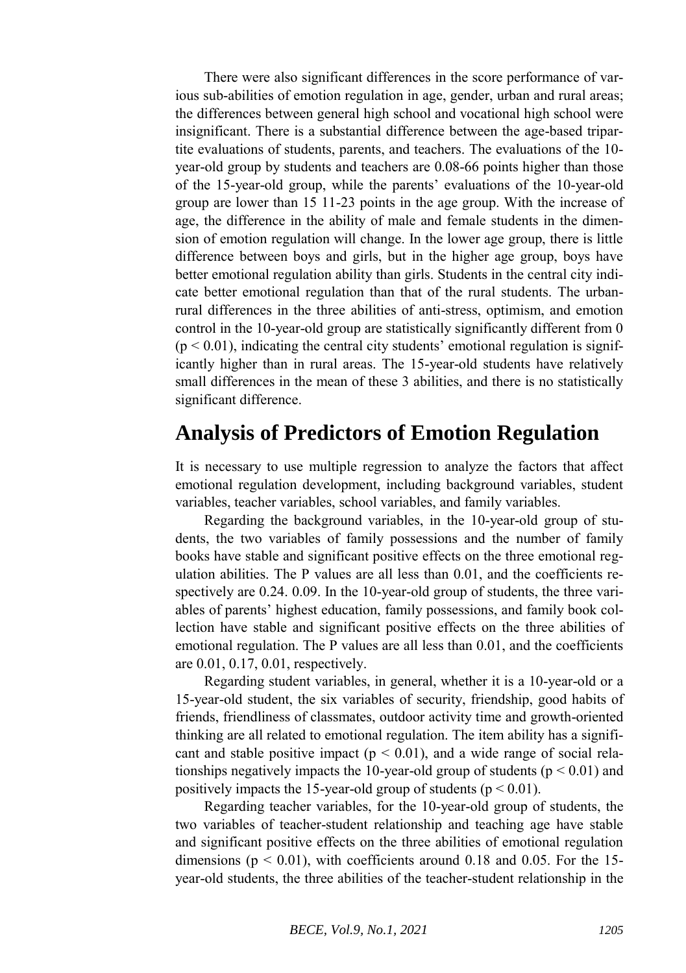There were also significant differences in the score performance of various sub-abilities of emotion regulation in age, gender, urban and rural areas; the differences between general high school and vocational high school were insignificant. There is a substantial difference between the age-based tripartite evaluations of students, parents, and teachers. The evaluations of the 10 year-old group by students and teachers are 0.08-66 points higher than those of the 15-year-old group, while the parents' evaluations of the 10-year-old group are lower than 15 11-23 points in the age group. With the increase of age, the difference in the ability of male and female students in the dimension of emotion regulation will change. In the lower age group, there is little difference between boys and girls, but in the higher age group, boys have better emotional regulation ability than girls. Students in the central city indicate better emotional regulation than that of the rural students. The urbanrural differences in the three abilities of anti-stress, optimism, and emotion control in the 10-year-old group are statistically significantly different from 0  $(p < 0.01)$ , indicating the central city students' emotional regulation is significantly higher than in rural areas. The 15-year-old students have relatively small differences in the mean of these 3 abilities, and there is no statistically significant difference.

## **Analysis of Predictors of Emotion Regulation**

It is necessary to use multiple regression to analyze the factors that affect emotional regulation development, including background variables, student variables, teacher variables, school variables, and family variables.

Regarding the background variables, in the 10-year-old group of students, the two variables of family possessions and the number of family books have stable and significant positive effects on the three emotional regulation abilities. The P values are all less than 0.01, and the coefficients respectively are 0.24. 0.09. In the 10-year-old group of students, the three variables of parents' highest education, family possessions, and family book collection have stable and significant positive effects on the three abilities of emotional regulation. The P values are all less than 0.01, and the coefficients are 0.01, 0.17, 0.01, respectively.

Regarding student variables, in general, whether it is a 10-year-old or a 15-year-old student, the six variables of security, friendship, good habits of friends, friendliness of classmates, outdoor activity time and growth-oriented thinking are all related to emotional regulation. The item ability has a significant and stable positive impact ( $p < 0.01$ ), and a wide range of social relationships negatively impacts the 10-year-old group of students ( $p < 0.01$ ) and positively impacts the 15-year-old group of students ( $p < 0.01$ ).

Regarding teacher variables, for the 10-year-old group of students, the two variables of teacher-student relationship and teaching age have stable and significant positive effects on the three abilities of emotional regulation dimensions ( $p < 0.01$ ), with coefficients around 0.18 and 0.05. For the 15year-old students, the three abilities of the teacher-student relationship in the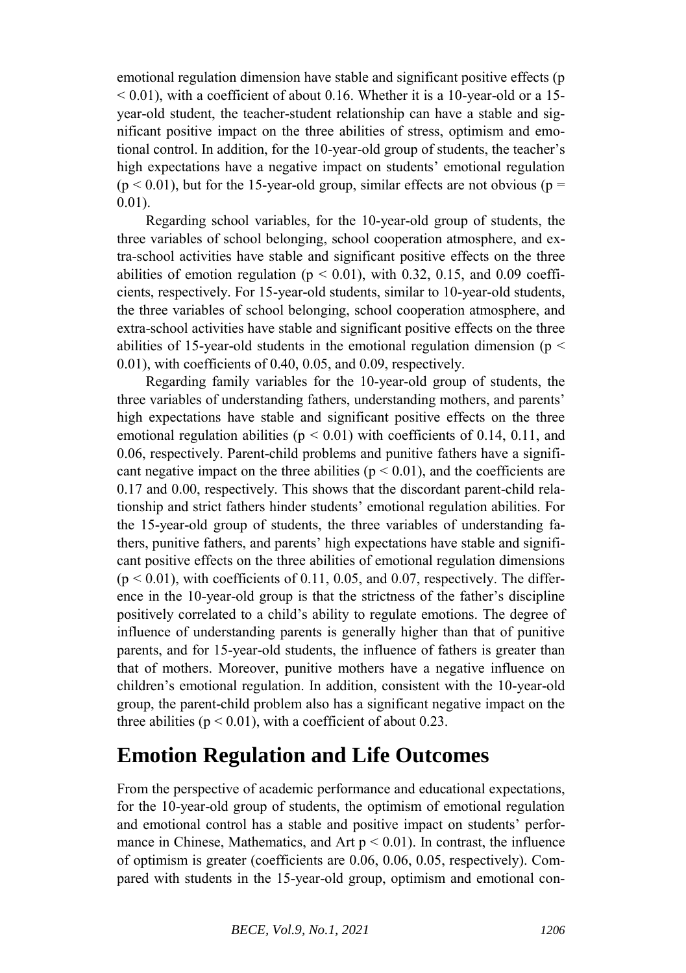emotional regulation dimension have stable and significant positive effects (p  $<$  0.01), with a coefficient of about 0.16. Whether it is a 10-year-old or a 15year-old student, the teacher-student relationship can have a stable and significant positive impact on the three abilities of stress, optimism and emotional control. In addition, for the 10-year-old group of students, the teacher's high expectations have a negative impact on students' emotional regulation  $(p < 0.01)$ , but for the 15-year-old group, similar effects are not obvious (p = 0.01).

Regarding school variables, for the 10-year-old group of students, the three variables of school belonging, school cooperation atmosphere, and extra-school activities have stable and significant positive effects on the three abilities of emotion regulation ( $p < 0.01$ ), with 0.32, 0.15, and 0.09 coefficients, respectively. For 15-year-old students, similar to 10-year-old students, the three variables of school belonging, school cooperation atmosphere, and extra-school activities have stable and significant positive effects on the three abilities of 15-year-old students in the emotional regulation dimension ( $p <$ 0.01), with coefficients of 0.40, 0.05, and 0.09, respectively.

Regarding family variables for the 10-year-old group of students, the three variables of understanding fathers, understanding mothers, and parents' high expectations have stable and significant positive effects on the three emotional regulation abilities ( $p < 0.01$ ) with coefficients of 0.14, 0.11, and 0.06, respectively. Parent-child problems and punitive fathers have a significant negative impact on the three abilities ( $p < 0.01$ ), and the coefficients are 0.17 and 0.00, respectively. This shows that the discordant parent-child relationship and strict fathers hinder students' emotional regulation abilities. For the 15-year-old group of students, the three variables of understanding fathers, punitive fathers, and parents' high expectations have stable and significant positive effects on the three abilities of emotional regulation dimensions  $(p < 0.01)$ , with coefficients of 0.11, 0.05, and 0.07, respectively. The difference in the 10-year-old group is that the strictness of the father's discipline positively correlated to a child's ability to regulate emotions. The degree of influence of understanding parents is generally higher than that of punitive parents, and for 15-year-old students, the influence of fathers is greater than that of mothers. Moreover, punitive mothers have a negative influence on children's emotional regulation. In addition, consistent with the 10-year-old group, the parent-child problem also has a significant negative impact on the three abilities ( $p < 0.01$ ), with a coefficient of about 0.23.

## **Emotion Regulation and Life Outcomes**

From the perspective of academic performance and educational expectations, for the 10-year-old group of students, the optimism of emotional regulation and emotional control has a stable and positive impact on students' performance in Chinese, Mathematics, and Art  $p < 0.01$ ). In contrast, the influence of optimism is greater (coefficients are 0.06, 0.06, 0.05, respectively). Compared with students in the 15-year-old group, optimism and emotional con-